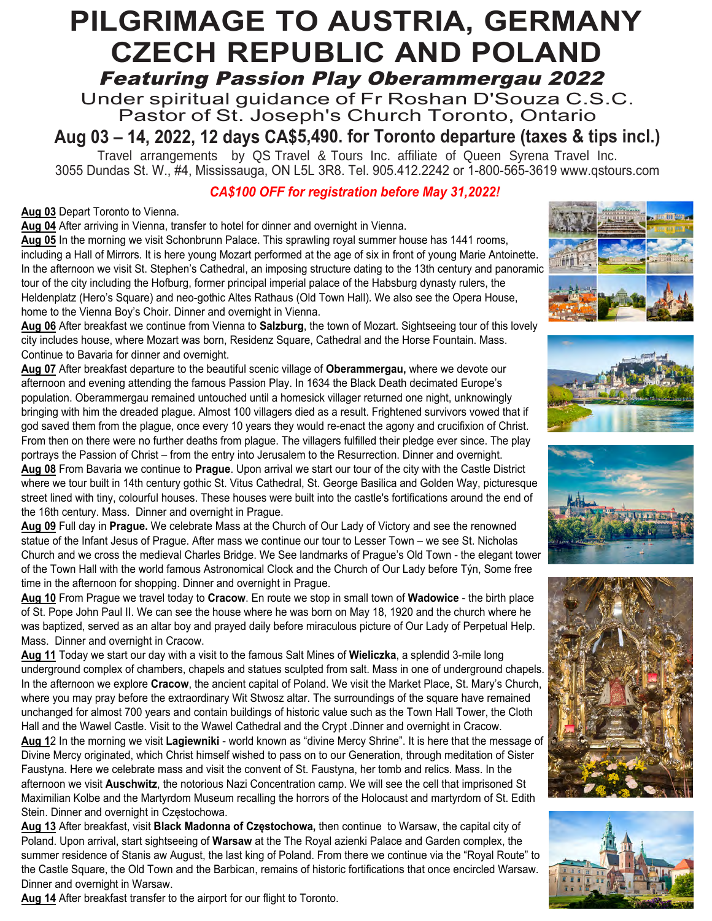# *-* Featuring Passion Play Oberammergau 2022 **PILGRIMAGE TO AUSTRIA, GERMANY CZECH REPUBLIC AND POLAND**

Under spiritual guidance of Fr Roshan D'Souza C.S.C. Pastor of St. Joseph's Church Toronto, Ontario

**Aug 03 – 14, 2022, 12 days CA\$5,490. for Toronto departure (taxes & tips incl.)**

Travel arrangements by QS Travel & Tours Inc. affiliate of Queen Syrena Travel Inc. 3055 Dundas St. W., #4, Mississauga, ON L5L 3R8. Tel. 905.412.2242 or 1-800-565-3619 www.qstours.com

# *CA\$100 OFF for registration before May 31,2022!*

## **Aug 03** Depart Toronto to Vienna.

**Aug 04** After arriving in Vienna, transfer to hotel for dinner and overnight in Vienna.

**Aug 05** In the morning we visit Schonbrunn Palace. This sprawling royal summer house has 1441 rooms, including a Hall of Mirrors. It is here young Mozart performed at the age of six in front of young Marie Antoinette. In the afternoon we visit St. Stephen's Cathedral, an imposing structure dating to the 13th century and panoramic tour of the city including the Hofburg, former principal imperial palace of the Habsburg dynasty rulers, the Heldenplatz (Hero's Square) and neo-gothic Altes Rathaus (Old Town Hall). We also see the Opera House, home to the Vienna Boy's Choir. Dinner and overnight in Vienna.

**Aug 06** After breakfast we continue from Vienna to **Salzburg**, the town of Mozart. Sightseeing tour of this lovely city includes house, where Mozart was born, Residenz Square, Cathedral and the Horse Fountain. Mass. Continue to Bavaria for dinner and overnight.

**Aug 07** After breakfast departure to the beautiful scenic village of **Oberammergau,** where we devote our afternoon and evening attending the famous Passion Play. In 1634 the Black Death decimated Europe's population. Oberammergau remained untouched until a homesick villager returned one night, unknowingly bringing with him the dreaded plague. Almost 100 villagers died as a result. Frightened survivors vowed that if god saved them from the plague, once every 10 years they would re-enact the agony and crucifixion of Christ. From then on there were no further deaths from plague. The villagers fulfilled their pledge ever since. The play portrays the Passion of Christ – from the entry into Jerusalem to the Resurrection. Dinner and overnight.











**Aug 08** From Bavaria we continue to **Prague**. Upon arrival we start our tour of the city with the Castle District where we tour built in 14th century gothic St. Vitus Cathedral, St. George Basilica and Golden Way, picturesque street lined with tiny, colourful houses. These houses were built into the castle's fortifications around the end of the 16th century. Mass. Dinner and overnight in Prague.

**Aug 09** Full day in **Prague.** We celebrate Mass at the Church of Our Lady of Victory and see the renowned statue of the Infant Jesus of Prague. After mass we continue our tour to Lesser Town – we see St. Nicholas Church and we cross the medieval Charles Bridge. We See landmarks of Prague's Old Town - the elegant tower of the Town Hall with the world famous Astronomical Clock and the Church of Our Lady before Týn, Some free time in the afternoon for shopping. Dinner and overnight in Prague.

**Aug 10** From Prague we travel today to **Cracow**. En route we stop in small town of **Wadowice** - the birth place of St. Pope John Paul II. We can see the house where he was born on May 18, 1920 and the church where he was baptized, served as an altar boy and prayed daily before miraculous picture of Our Lady of Perpetual Help. Mass. Dinner and overnight in Cracow.

**Aug 11** Today we start our day with a visit to the famous Salt Mines of **Wieliczka**, a splendid 3-mile long underground complex of chambers, chapels and statues sculpted from salt. Mass in one of underground chapels. In the afternoon we explore **Cracow**, the ancient capital of Poland. We visit the Market Place, St. Mary's Church, where you may pray before the extraordinary Wit Stwosz altar. The surroundings of the square have remained unchanged for almost 700 years and contain buildings of historic value such as the Town Hall Tower, the Cloth Hall and the Wawel Castle. Visit to the Wawel Cathedral and the Crypt .Dinner and overnight in Cracow. **Aug 1**2 In the morning we visit **Lagiewniki** - world known as "divine Mercy Shrine". It is here that the message of Divine Mercy originated, which Christ himself wished to pass on to our Generation, through meditation of Sister

Faustyna. Here we celebrate mass and visit the convent of St. Faustyna, her tomb and relics. Mass. In the afternoon we visit **Auschwitz**, the notorious Nazi Concentration camp. We will see the cell that imprisoned St Maximilian Kolbe and the Martyrdom Museum recalling the horrors of the Holocaust and martyrdom of St. Edith Stein. Dinner and overnight in Częstochowa.

**Aug 13** After breakfast, visit **Black Madonna of Częstochowa,** then continue to Warsaw, the capital city of Poland. Upon arrival, start sightseeing of **Warsaw** at the The Royal azienki Palace and Garden complex, the summer residence of Stanis aw August, the last king of Poland. From there we continue via the "Royal Route" to the Castle Square, the Old Town and the Barbican, remains of historic fortifications that once encircled Warsaw. Dinner and overnight in Warsaw.

**Aug 14** After breakfast transfer to the airport for our flight to Toronto.